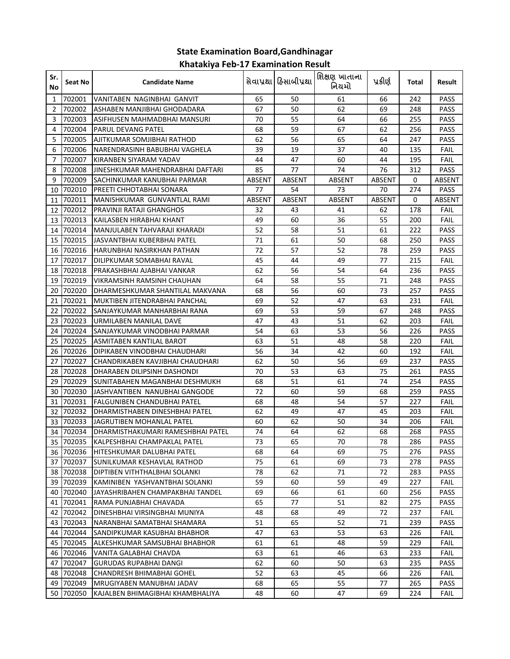## **State Examination Board,Gandhinagar Khatakiya Feb-17 Examination Result**

| Sr.<br>No      | Seat No   | <b>Candidate Name</b>                  |        | સેવાપ્રથા હિસાબીપ્રથા | શિક્ષણ ખાતાના<br>નિયમો | પ્રકીર્ણ      | Total | Result      |
|----------------|-----------|----------------------------------------|--------|-----------------------|------------------------|---------------|-------|-------------|
| 1              | 702001    | VANITABEN NAGINBHAI GANVIT             | 65     | 50                    | 61                     | 66            | 242   | PASS        |
| $\overline{2}$ | 702002    | ASHABEN MANJIBHAI GHODADARA            | 67     | 50                    | 62                     | 69            | 248   | <b>PASS</b> |
| 3              | 702003    | ASIFHUSEN MAHMADBHAI MANSURI           | 70     | 55                    | 64                     | 66            | 255   | PASS        |
| 4              | 702004    | <b>PARUL DEVANG PATEL</b>              | 68     | 59                    | 67                     | 62            | 256   | PASS        |
| 5              | 702005    | AJITKUMAR SOMJIBHAI RATHOD             | 62     | 56                    | 65                     | 64            | 247   | <b>PASS</b> |
| 6              | 702006    | NARENDRASINH BABUBHAI VAGHELA          | 39     | 19                    | 37                     | 40            | 135   | <b>FAIL</b> |
| 7              | 702007    | KIRANBEN SIYARAM YADAV                 | 44     | 47                    | 60                     | 44            | 195   | <b>FAIL</b> |
| 8              | 702008    | JINESHKUMAR MAHENDRABHAI DAFTARI       | 85     | 77                    | 74                     | 76            | 312   | PASS        |
| 9              | 702009    | ISACHINKUMAR KANUBHAI PARMAR           | ABSENT | ABSENT                | <b>ABSENT</b>          | <b>ABSENT</b> | 0     | ABSENT      |
| 10             | 702010    | PREETI CHHOTABHAI SONARA               | 77     | 54                    | 73                     | 70            | 274   | PASS        |
| 11             | 702011    | MANISHKUMAR GUNVANTLAL RAMI            | ABSENT | ABSENT                | ABSENT                 | ABSENT        | 0     | ABSENT      |
| 12             | 702012    | PRAVINJI RATAJI GHANGHOS               | 32     | 43                    | 41                     | 62            | 178   | FAIL        |
| 13             | 702013    | KAILASBEN HIRABHAI KHANT               | 49     | 60                    | 36                     | 55            | 200   | FAIL        |
| 14             | 702014    | MANJULABEN TAHVARAJI KHARADI           | 52     | 58                    | 51                     | 61            | 222   | PASS        |
| 15             | 702015    | JASVANTBHAI KUBERBHAI PATEL            | 71     | 61                    | 50                     | 68            | 250   | <b>PASS</b> |
| 16             | 702016    | HARUNBHAI NASIRKHAN PATHAN             | 72     | 57                    | 52                     | 78            | 259   | PASS        |
| 17             | 702017    | DILIPKUMAR SOMABHAI RAVAL              | 45     | 44                    | 49                     | 77            | 215   | <b>FAIL</b> |
| 18             | 702018    | PRAKASHBHAI AJABHAI VANKAR             | 62     | 56                    | 54                     | 64            | 236   | PASS        |
| 19             | 702019    | VIKRAMSINH RAMSINH CHAUHAN             | 64     | 58                    | 55                     | 71            | 248   | PASS        |
| 20             | 702020    | DHARMESHKUMAR SHANTILAL MAKVANA        | 68     | 56                    | 60                     | 73            | 257   | PASS        |
| 21             | 702021    | MUKTIBEN JITENDRABHAI PANCHAL          | 69     | 52                    | 47                     | 63            | 231   | FAIL        |
| 22             | 702022    | ISANJAYKUMAR MANHARBHAI RANA           | 69     | 53                    | 59                     | 67            | 248   | <b>PASS</b> |
| 23             | 702023    | URMILABEN MANILAL DAVE                 | 47     | 43                    | 51                     | 62            | 203   | FAIL        |
| 24             | 702024    | SANJAYKUMAR VINODBHAI PARMAR           | 54     | 63                    | 53                     | 56            | 226   | PASS        |
| 25             | 702025    | ASMITABEN KANTILAL BAROT               | 63     | 51                    | 48                     | 58            | 220   | FAIL        |
| 26             | 702026    | DIPIKABEN VINODBHAI CHAUDHARI          | 56     | 34                    | 42                     | 60            | 192   | FAIL        |
| 27             | 702027    | CHANDRIKABEN KAVJIBHAI CHAUDHARI       | 62     | 50                    | 56                     | 69            | 237   | <b>PASS</b> |
| 28             | 702028    | DHARABEN DILIPSINH DASHONDI            | 70     | 53                    | 63                     | 75            | 261   | <b>PASS</b> |
| 29             | 702029    | SUNITABAHEN MAGANBHAI DESHMUKH         | 68     | 51                    | 61                     | 74            | 254   | <b>PASS</b> |
| 30             | 702030    | JASHVANTIBEN NANUBHAI GANGODE          | 72     | 60                    | 59                     | 68            | 259   | <b>PASS</b> |
| 31             | 702031    | FALGUNIBEN CHANDUBHAI PATEL            | 68     | 48                    | 54                     | 57            | 227   | <b>FAIL</b> |
| 32             | 702032    | DHARMISTHABEN DINESHBHAI PATEL         | 62     | 49                    | 47                     | 45            | 203   | FAIL        |
| 33             | 702033    | JAGRUTIBEN MOHANLAL PATEL              | 60     | 62                    | 50                     | 34            | 206   | <b>FAIL</b> |
| 34             | 702034    | DHARMISTHAKUMARI RAMESHBHAI PATEL      | 74     | 64                    | 62                     | 68            | 268   | <b>PASS</b> |
|                |           | 35 702035 KALPESHBHAI CHAMPAKLAL PATEL | 73     | 65                    | 70                     | 78            | 286   | PASS        |
|                | 36 702036 | HITESHKUMAR DALUBHAI PATEL             | 68     | 64                    | 69                     | 75            | 276   | PASS        |
|                | 37 702037 | SUNILKUMAR KESHAVLAL RATHOD            | 75     | 61                    | 69                     | 73            | 278   | PASS        |
|                | 38 702038 | DIPTIBEN VITHTHALBHAI SOLANKI          | 78     | 62                    | 71                     | 72            | 283   | <b>PASS</b> |
| 39             | 702039    | KAMINIBEN YASHVANTBHAI SOLANKI         | 59     | 60                    | 59                     | 49            | 227   | <b>FAIL</b> |
|                | 40 702040 | JAYASHRIBAHEN CHAMPAKBHAI TANDEL       | 69     | 66                    | 61                     | 60            | 256   | PASS        |
|                | 41 702041 | RAMA PUNJABHAI CHAVADA                 | 65     | 77                    | 51                     | 82            | 275   | <b>PASS</b> |
|                | 42 702042 | DINESHBHAI VIRSINGBHAI MUNIYA          | 48     | 68                    | 49                     | 72            | 237   | <b>FAIL</b> |
|                | 43 702043 | NARANBHAI SAMATBHAI SHAMARA            | 51     | 65                    | 52                     | 71            | 239   | PASS        |
|                | 44 702044 | SANDIPKUMAR KASUBHAI BHABHOR           | 47     | 63                    | 53                     | 63            | 226   | <b>FAIL</b> |
|                | 45 702045 | ALKESHKUMAR SAMSUBHAI BHABHOR          | 61     | 61                    | 48                     | 59            | 229   | <b>FAIL</b> |
|                | 46 702046 | VANITA GALABHAI CHAVDA                 | 63     | 61                    | 46                     | 63            | 233   | FAIL        |
|                | 47 702047 | GURUDAS RUPABHAI DANGI                 | 62     | 60                    | 50                     | 63            | 235   | PASS        |
|                | 48 702048 | CHANDRESH BHIMABHAI GOHEL              | 52     | 63                    | 45                     | 66            | 226   | FAIL        |
|                | 49 702049 | MRUGIYABEN MANUBHAI JADAV              | 68     | 65                    | 55                     | 77            | 265   | PASS        |
|                | 50 702050 | KAJALBEN BHIMAGIBHAI KHAMBHALIYA       | 48     | 60                    | 47                     | 69            | 224   | FAIL        |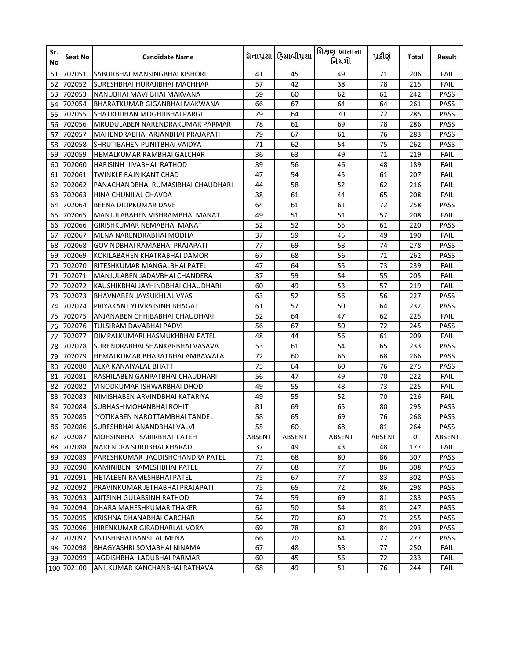| Sr.<br>No | Seat No    | <b>Candidate Name</b>              |        | સેવાપ્રથા ફિસાબીપ્રથા | શિક્ષણ ખાતાના<br>નિયમો | પ્રકીર્ણ | Total | Result      |
|-----------|------------|------------------------------------|--------|-----------------------|------------------------|----------|-------|-------------|
| 51        | 702051     | SABURBHAI MANSINGBHAI KISHORI      | 41     | 45                    | 49                     | 71       | 206   | FAIL        |
| 52        | 702052     | SURESHBHAI HURAJIBHAI MACHHAR      | 57     | 42                    | 38                     | 78       | 215   | FAIL        |
| 53        | 702053     | NANUBHAI MAVJIBHAI MAKVANA         | 59     | 60                    | 62                     | 61       | 242   | PASS        |
| 54        | 702054     | BHARATKUMAR GIGANBHAI MAKWANA      | 66     | 67                    | 64                     | 64       | 261   | PASS        |
| 55        | 702055     | ISHATRUDHAN MOGHJIBHAI PARGI       | 79     | 64                    | 70                     | 72       | 285   | PASS        |
| 56        | 702056     | IMRUDULABEN NARENDRAKUMAR PARMAR   | 78     | 61                    | 69                     | 78       | 286   | <b>PASS</b> |
| 57        | 702057     | MAHENDRABHAI ARJANBHAI PRAJAPATI   | 79     | 67                    | 61                     | 76       | 283   | <b>PASS</b> |
| 58        | 702058     | SHRUTIBAHEN PUNITBHAI VAIDYA       | 71     | 62                    | 54                     | 75       | 262   | PASS        |
| 59        | 702059     | HEMALKUMAR RAMBHAI GALCHAR         | 36     | 63                    | 49                     | 71       | 219   | <b>FAIL</b> |
| 60        | 702060     | HARISINH JIVABHAI RATHOD           | 39     | 56                    | 46                     | 48       | 189   | FAIL        |
| 61        | 702061     | TWINKLE RAJNIKANT CHAD             | 47     | 54                    | 45                     | 61       | 207   | FAIL        |
| 62        | 702062     | PANACHANDBHAI RUMASIBHAI CHAUDHARI | 44     | 58                    | 52                     | 62       | 216   | FAIL        |
| 63        | 702063     | HINA CHUNILAL CHAVDA               | 38     | 61                    | 44                     | 65       | 208   | FAIL        |
| 64        | 702064     | BEENA DILIPKUMAR DAVE              | 64     | 61                    | 61                     | 72       | 258   | PASS        |
| 65        | 702065     | MANJULABAHEN VISHRAMBHAI MANAT     | 49     | 51                    | 51                     | 57       | 208   | FAIL        |
| 66        | 702066     | GIRISHKUMAR NEMABHAI MANAT         | 52     | 52                    | 55                     | 61       | 220   | PASS        |
| 67        | 702067     | MENA NARENDRABHAI MODHA            | 37     | 59                    | 45                     | 49       | 190   | FAIL        |
| 68        | 702068     | GOVINDBHAI RAMABHAI PRAJAPATI      | 77     | 69                    | 58                     | 74       | 278   | PASS        |
| 69        | 702069     | KOKILABAHEN KHATRABHAI DAMOR       | 67     | 68                    | 56                     | 71       | 262   | PASS        |
| 70        | 702070     | IRITESHKUMAR MANGALBHAI PATEL      | 47     | 64                    | 55                     | 73       | 239   | FAIL        |
| 71        | 702071     | MANJULABEN JADAVBHAI CHANDERA      | 37     | 59                    | 54                     | 55       | 205   | FAIL        |
| 72        | 702072     | IKAUSHIKBHAI JAYHINDBHAI CHAUDHARI | 60     | 49                    | 53                     | 57       | 219   | FAIL        |
| 73        | 702073     | <b>BHAVNABEN JAYSUKHLAL VYAS</b>   | 63     | 52                    | 56                     | 56       | 227   | PASS        |
| 74        | 702074     | PRIYAKANT YUVRAJSINH BHAGAT        | 61     | 57                    | 50                     | 64       | 232   | <b>PASS</b> |
| 75        | 702075     | ANJANABEN CHHIBABHAI CHAUDHARI     | 52     | 64                    | 47                     | 62       | 225   | FAIL        |
| 76        | 702076     | TULSIRAM DAVABHAI PADVI            | 56     | 67                    | 50                     | 72       | 245   | <b>PASS</b> |
| 77        | 702077     | DIMPALKUMARI HASMUKHBHAI PATEL     | 48     | 44                    | 56                     | 61       | 209   | FAIL        |
| 78        | 702078     | ISURENDRABHAI SHANKARBHAI VASAVA   | 53     | 61                    | 54                     | 65       | 233   | PASS        |
| 79        | 702079     | HEMALKUMAR BHARATBHAI AMBAWALA     | 72     | 60                    | 66                     | 68       | 266   | PASS        |
| 80        | 702080     | ALKA KANAIYALAL BHATT              | 75     | 64                    | 60                     | 76       | 275   | PASS        |
| 81        | 702081     | RASHILABEN GANPATBHAI CHAUDHARI    | 56     | 47                    | 49                     | 70       | 222   | FAIL        |
| 82        | 702082     | VINODKUMAR ISHWARBHAI DHODI        | 49     | 55                    | 48                     | 73       | 225   | FAIL        |
| 83        | 702083     | NIMISHABEN ARVINDBHAI KATARIYA     | 49     | 55                    | 52                     | 70       | 226   | FAIL        |
| 84        | 702084     | <b>SUBHASH MOHANBHAI ROHIT</b>     | 81     | 69                    | 65                     | 80       | 295   | PASS        |
| 85        | 702085     | JYOTIKABEN NAROTTAMBHAI TANDEL     | 58     | 65                    | 69                     | 76       | 268   | PASS        |
|           | 86 702086  | SURESHBHAI ANANDBHAI VALVI         | 55     | 60                    | 68                     | 81       | 264   | PASS        |
| 87        | 702087     | MOHSINBHAI SABIRBHAI FATEH         | ABSENT | ABSENT                | ABSENT                 | ABSENT   | 0     | ABSENT      |
| 88        | 702088     | NARENDRA SURJIBHAI KHARADI         | 37     | 49                    | 43                     | 48       | 177   | FAIL        |
| 89        | 702089     | PARESHKUMAR JAGDISHCHANDRA PATEL   | 73     | 68                    | 80                     | 86       | 307   | PASS        |
| 90        | 702090     | KAMINIBEN RAMESHBHAI PATEL         | 77     | 68                    | 77                     | 86       | 308   | PASS        |
| 91        | 702091     | HETALBEN RAMESHBHAI PATEL          | 75     | 67                    | 77                     | 83       | 302   | PASS        |
| 92        | 702092     | PRAVINKUMAR JETHABHAI PRAJAPATI    | 75     | 65                    | 72                     | 86       | 298   | PASS        |
| 93        | 702093     | AJITSINH GULABSINH RATHOD          | 74     | 59                    | 69                     | 81       | 283   | PASS        |
| 94        | 702094     | DHARA MAHESHKUMAR THAKER           | 62     | 50                    | 54                     | 81       | 247   | PASS        |
|           | 95 702095  | KRISHNA DHANABHAI GARCHAR          | 54     | 70                    | 60                     | 71       | 255   | PASS        |
|           | 96 702096  | HIRENKUMAR GIRADHARLAL VORA        | 69     | 78                    | 62                     | 84       | 293   | PASS        |
| 97        | 702097     | SATISHBHAI BANSILAL MENA           | 66     | 70                    | 64                     | 77       | 277   | PASS        |
|           | 98 702098  | BHAGYASHRI SOMABHAI NINAMA         | 67     | 48                    | 58                     | 77       | 250   | <b>FAIL</b> |
|           | 99 702099  | JAGDISHBHAI LADUBHAI PARMAR        | 60     | 45                    | 56                     | 72       | 233   | <b>FAIL</b> |
|           | 100 702100 | ANILKUMAR KANCHANBHAI RATHAVA      | 68     | 49                    | 51                     | 76       | 244   | FAIL        |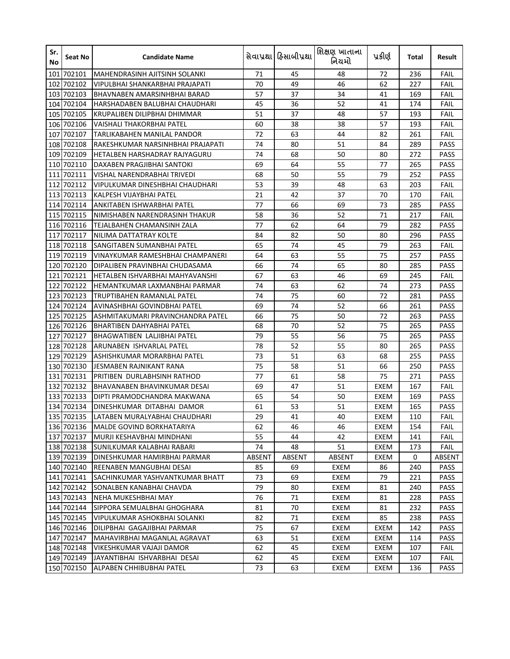| Sr.<br>No | Seat No    | <b>Candidate Name</b>               |        | સેવાપ્રથા ફિસાબીપ્રથા | શિક્ષણ ખાતાના<br>નિયમો | પ્રકીર્ણ    | Total | Result      |
|-----------|------------|-------------------------------------|--------|-----------------------|------------------------|-------------|-------|-------------|
|           | 101 702101 | MAHENDRASINH AJITSINH SOLANKI       | 71     | 45                    | 48                     | 72          | 236   | FAIL        |
| 102       | 702102     | VIPULBHAI SHANKARBHAI PRAJAPATI     | 70     | 49                    | 46                     | 62          | 227   | FAIL        |
|           | 103 702103 | <b>BHAVNABEN AMARSINHBHAI BARAD</b> | 57     | 37                    | 34                     | 41          | 169   | FAIL        |
|           | 104 702104 | HARSHADABEN BALUBHAI CHAUDHARI      | 45     | 36                    | 52                     | 41          | 174   | FAIL        |
|           | 105 702105 | IKRUPALIBEN DILIPBHAI DHIMMAR       | 51     | 37                    | 48                     | 57          | 193   | FAIL        |
|           | 106 702106 | VAISHALI THAKORBHAI PATEL           | 60     | 38                    | 38                     | 57          | 193   | FAIL        |
|           | 107 702107 | TARLIKABAHEN MANILAL PANDOR         | 72     | 63                    | 44                     | 82          | 261   | FAIL        |
|           | 108 702108 | RAKESHKUMAR NARSINHBHAI PRAJAPATI   | 74     | 80                    | 51                     | 84          | 289   | PASS        |
|           | 109 702109 | HETALBEN HARSHADRAY RAJYAGURU       | 74     | 68                    | 50                     | 80          | 272   | PASS        |
|           | 110 702110 | DAXABEN PRAGJIBHAI SANTOKI          | 69     | 64                    | 55                     | 77          | 265   | PASS        |
|           | 111 702111 | VISHAL NARENDRABHAI TRIVEDI         | 68     | 50                    | 55                     | 79          | 252   | PASS        |
|           | 112 702112 | VIPULKUMAR DINESHBHAI CHAUDHARI     | 53     | 39                    | 48                     | 63          | 203   | FAIL        |
|           | 113 702113 | KALPESH VIJAYBHAI PATEL             | 21     | 42                    | 37                     | 70          | 170   | FAIL        |
|           | 114 702114 | ANKITABEN ISHWARBHAI PATEL          | 77     | 66                    | 69                     | 73          | 285   | PASS        |
|           | 115 702115 | NIMISHABEN NARENDRASINH THAKUR      | 58     | 36                    | 52                     | 71          | 217   | FAIL        |
|           | 116 702116 | TEJALBAHEN CHAMANSINH ZALA          | 77     | 62                    | 64                     | 79          | 282   | <b>PASS</b> |
|           | 117 702117 | INILIMA DATTATRAY KOLTE             | 84     | 82                    | 50                     | 80          | 296   | PASS        |
|           | 118 702118 | SANGITABEN SUMANBHAI PATEL          | 65     | 74                    | 45                     | 79          | 263   | FAIL        |
|           | 119 702119 | VINAYKUMAR RAMESHBHAI CHAMPANERI    | 64     | 63                    | 55                     | 75          | 257   | PASS        |
|           | 120 702120 | DIPALIBEN PRAVINBHAI CHUDASAMA      | 66     | 74                    | 65                     | 80          | 285   | <b>PASS</b> |
|           | 121 702121 | HETALBEN ISHVARBHAI MAHYAVANSHI     | 67     | 63                    | 46                     | 69          | 245   | FAIL        |
|           | 122 702122 | HEMANTKUMAR LAXMANBHAI PARMAR       | 74     | 63                    | 62                     | 74          | 273   | PASS        |
|           | 123 702123 | TRUPTIBAHEN RAMANLAL PATEL          | 74     | 75                    | 60                     | 72          | 281   | <b>PASS</b> |
|           | 124 702124 | AVINASHBHAI GOVINDBHAI PATEL        | 69     | 74                    | 52                     | 66          | 261   | <b>PASS</b> |
|           | 125 702125 | IASHMITAKUMARI PRAVINCHANDRA PATEL  | 66     | 75                    | 50                     | 72          | 263   | PASS        |
|           | 126 702126 | <b>BHARTIBEN DAHYABHAI PATEL</b>    | 68     | 70                    | 52                     | 75          | 265   | <b>PASS</b> |
| 127       | 702127     | <b>BHAGWATIBEN LALJIBHAI PATEL</b>  | 79     | 55                    | 56                     | 75          | 265   | <b>PASS</b> |
|           | 128 702128 | IARUNABEN ISHVARLAL PATEL           | 78     | 52                    | 55                     | 80          | 265   | <b>PASS</b> |
|           | 129 702129 | ASHISHKUMAR MORARBHAI PATEL         | 73     | 51                    | 63                     | 68          | 255   | <b>PASS</b> |
|           | 130 702130 | LJESMABEN RAJNIKANT RANA            | 75     | 58                    | 51                     | 66          | 250   | <b>PASS</b> |
|           | 131 702131 | PRITIBEN DURLABHSINH RATHOD         | 77     | 61                    | 58                     | 75          | 271   | <b>PASS</b> |
|           | 132 702132 | <b>BHAVANABEN BHAVINKUMAR DESAI</b> | 69     | 47                    | 51                     | <b>EXEM</b> | 167   | FAIL        |
|           | 133 702133 | DIPTI PRAMODCHANDRA MAKWANA         | 65     | 54                    | 50                     | EXEM        | 169   | PASS        |
|           | 134 702134 | DINESHKUMAR DITABHAI DAMOR          | 61     | 53                    | 51                     | <b>EXEM</b> | 165   | <b>PASS</b> |
|           | 135 702135 | LATABEN MURALYABHAI CHAUDHARI       | 29     | 41                    | 40                     | EXEM        | 110   | FAIL        |
|           | 136 702136 | MALDE GOVIND BORKHATARIYA           | 62     | 46                    | 46                     | EXEM        | 154   | FAIL        |
|           | 137 702137 | MURJI KESHAVBHAI MINDHANI           | 55     | 44                    | 42                     | EXEM        | 141   | FAIL        |
|           | 138 702138 | SUNILKUMAR KALABHAI RABARI          | 74     | 48                    | 51                     | EXEM        | 173   | <b>FAIL</b> |
|           | 139 702139 | DINESHKUMAR HAMIRBHAI PARMAR        | ABSENT | ABSENT                | ABSENT                 | EXEM        | 0     | ABSENT      |
|           | 140 702140 | REENABEN MANGUBHAI DESAI            | 85     | 69                    | EXEM                   | 86          | 240   | PASS        |
|           | 141 702141 | ISACHINKUMAR YASHVANTKUMAR BHATT    | 73     | 69                    | EXEM                   | 79          | 221   | <b>PASS</b> |
|           | 142 702142 | SONALBEN KANABHAI CHAVDA            | 79     | 80                    | EXEM                   | 81          | 240   | <b>PASS</b> |
|           | 143 702143 | NEHA MUKESHBHAI MAY                 | 76     | 71                    | EXEM                   | 81          | 228   | PASS        |
|           | 144 702144 | SIPPORA SEMUALBHAI GHOGHARA         | 81     | 70                    | EXEM                   | 81          | 232   | PASS        |
|           | 145 702145 | VIPULKUMAR ASHOKBHAI SOLANKI        | 82     | 71                    | EXEM                   | 85          | 238   | PASS        |
|           | 146 702146 | DILIPBHAI GAGAJIBHAI PARMAR         | 75     | 67                    | EXEM                   | EXEM        | 142   | PASS        |
|           | 147 702147 | MAHAVIRBHAI MAGANLAL AGRAVAT        | 63     | 51                    | EXEM                   | EXEM        | 114   | PASS        |
|           | 148 702148 | VIKESHKUMAR VAJAJI DAMOR            | 62     | 45                    | EXEM                   | EXEM        | 107   | FAIL        |
|           | 149 702149 | JAYANTIBHAI ISHVARBHAI DESAI        | 62     | 45                    | EXEM                   | EXEM        | 107   | FAIL        |
|           | 150 702150 | ALPABEN CHHIBUBHAI PATEL            | 73     | 63                    | EXEM                   | EXEM        | 136   | PASS        |